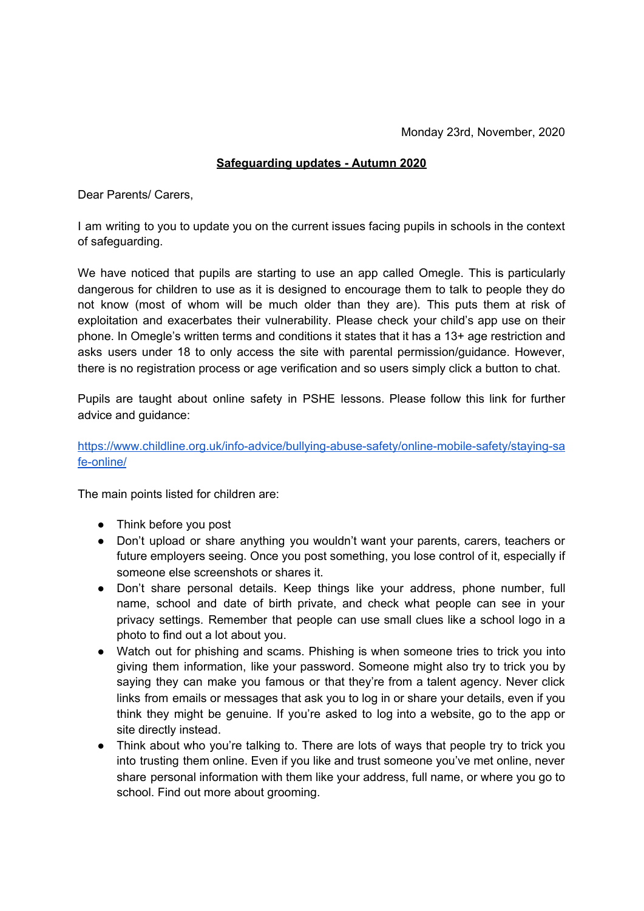## **Safeguarding updates - Autumn 2020**

Dear Parents/ Carers,

I am writing to you to update you on the current issues facing pupils in schools in the context of safeguarding.

We have noticed that pupils are starting to use an app called Omegle. This is particularly dangerous for children to use as it is designed to encourage them to talk to people they do not know (most of whom will be much older than they are). This puts them at risk of exploitation and exacerbates their vulnerability. Please check your child's app use on their phone. In Omegle's written terms and conditions it states that it has a 13+ age restriction and asks users under 18 to only access the site with parental permission/guidance. However, there is no registration process or age verification and so users simply click a button to chat.

Pupils are taught about online safety in PSHE lessons. Please follow this link for further advice and guidance:

## [https://www.childline.org.uk/info-advice/bullying-abuse-safety/online-mobile-safety/staying-sa](https://www.childline.org.uk/info-advice/bullying-abuse-safety/online-mobile-safety/staying-safe-online/) [fe-online/](https://www.childline.org.uk/info-advice/bullying-abuse-safety/online-mobile-safety/staying-safe-online/)

The main points listed for children are:

- Think before you post
- Don't upload or share anything you wouldn't want your parents, carers, teachers or future employers seeing. Once you post something, you lose control of it, especially if someone else screenshots or shares it.
- Don't share personal details. Keep things like your address, phone number, full name, school and date of birth private, and check what people can see in your privacy settings. Remember that people can use small clues like a school logo in a photo to find out a lot about you.
- Watch out for phishing and scams. Phishing is when someone tries to trick you into giving them information, like your password. Someone might also try to trick you by saying they can make you famous or that they're from a talent agency. Never click links from emails or messages that ask you to log in or share your details, even if you think they might be genuine. If you're asked to log into a website, go to the app or site directly instead.
- Think about who you're talking to. There are lots of ways that people try to trick you into trusting them online. Even if you like and trust someone you've met online, never share personal information with them like your address, full name, or where you go to school. Find out more about grooming.